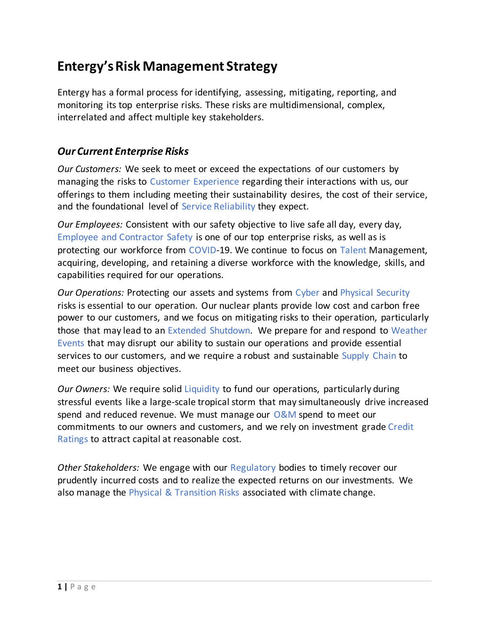# **Entergy's Risk Management Strategy**

Entergy has a formal process for identifying, assessing, mitigating, reporting, and monitoring its top enterprise risks. These risks are multidimensional, complex, interrelated and affect multiple key stakeholders.

### *Our Current Enterprise Risks*

*Our Customers:* We seek to meet or exceed the expectations of our customers by managing the risks to Customer Experience regarding their interactions with us, our offerings to them including meeting their sustainability desires, the cost of their service, and the foundational level of Service Reliability they expect.

*Our Employees:* Consistent with our safety objective to live safe all day, every day, Employee and Contractor Safety is one of our top enterprise risks, as well as is protecting our workforce from COVID-19. We continue to focus on Talent Management, acquiring, developing, and retaining a diverse workforce with the knowledge, skills, and capabilities required for our operations.

*Our Operations:* Protecting our assets and systems from Cyber and Physical Security risks is essential to our operation. Our nuclear plants provide low cost and carbon free power to our customers, and we focus on mitigating risks to their operation, particularly those that may lead to an Extended Shutdown. We prepare for and respond to Weather Events that may disrupt our ability to sustain our operations and provide essential services to our customers, and we require a robust and sustainable Supply Chain to meet our business objectives.

*Our Owners:* We require solid Liquidity to fund our operations, particularly during stressful events like a large-scale tropical storm that may simultaneously drive increased spend and reduced revenue. We must manage our O&M spend to meet our commitments to our owners and customers, and we rely on investment grade Credit Ratings to attract capital at reasonable cost.

*Other Stakeholders:* We engage with our Regulatory bodies to timely recover our prudently incurred costs and to realize the expected returns on our investments. We also manage the Physical & Transition Risks associated with climate change.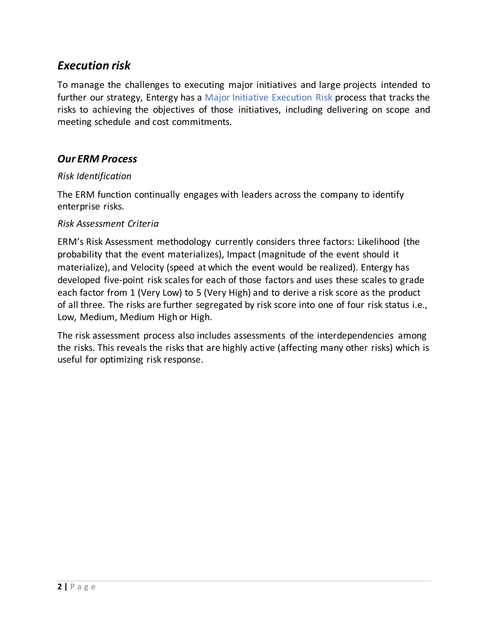## *Execution risk*

To manage the challenges to executing major initiatives and large projects intended to further our strategy, Entergy has a Major Initiative Execution Risk process that tracks the risks to achieving the objectives of those initiatives, including delivering on scope and meeting schedule and cost commitments.

### *Our ERM Process*

#### *Risk Identification*

The ERM function continually engages with leaders across the company to identify enterprise risks.

#### *Risk Assessment Criteria*

ERM's Risk Assessment methodology currently considers three factors: Likelihood (the probability that the event materializes), Impact (magnitude of the event should it materialize), and Velocity (speed at which the event would be realized). Entergy has developed five-point risk scales for each of those factors and uses these scales to grade each factor from 1 (Very Low) to 5 (Very High) and to derive a risk score as the product of all three. The risks are further segregated by risk score into one of four risk status i.e., Low, Medium, Medium High or High.

The risk assessment process also includes assessments of the interdependencies among the risks. This reveals the risks that are highly active (affecting many other risks) which is useful for optimizing risk response.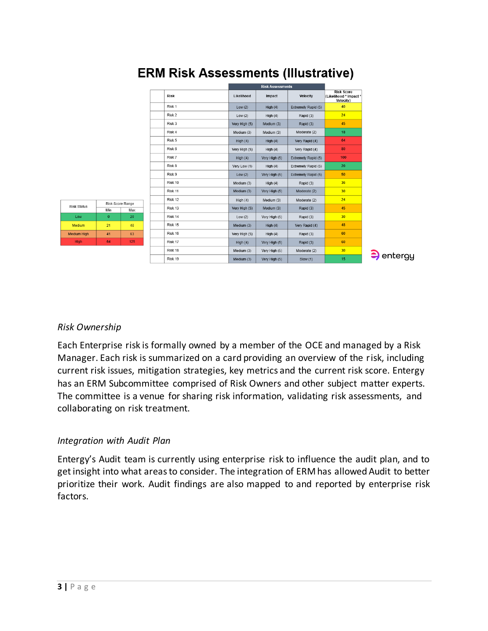|                                         |  |             | <b>Risk Assessments</b> |               |                     |                                                          |
|-----------------------------------------|--|-------------|-------------------------|---------------|---------------------|----------------------------------------------------------|
|                                         |  | <b>Risk</b> | Likelihood              | Impact        | <b>Velocity</b>     | <b>Risk Score</b><br>(Likelihood * Impact *<br>Velocity) |
| e Range<br>Max<br>20<br>40<br>63<br>125 |  | Risk 1      | Low(2)                  | High $(4)$    | Extremely Rapid (5) | 40                                                       |
|                                         |  | Risk 2      | Low(2)                  | High $(4)$    | Rapid (3)           | 24                                                       |
|                                         |  | Risk 3      | Very High (5)           | Medium (3)    | Rapid (3)           | 45                                                       |
|                                         |  | Risk 4      | Medium (3)              | Medium (3)    | Moderate (2)        | 18                                                       |
|                                         |  | Risk 5      | High $(4)$              | High $(4)$    | Very Rapid (4)      | 64                                                       |
|                                         |  | Risk 6      | Very High (5)           | High $(4)$    | Very Rapid (4)      | 80                                                       |
|                                         |  | Risk 7      | High $(4)$              | Very High (5) | Extremely Rapid (5) | 100                                                      |
|                                         |  | Risk 8      | Very Low (1)            | High $(4)$    | Extremely Rapid (5) | 20                                                       |
|                                         |  | Risk 9      | Low(2)                  | Very High (5) | Extremely Rapid (5) | 50                                                       |
|                                         |  | Risk 10     | Medium (3)              | High $(4)$    | Rapid (3)           | 36                                                       |
|                                         |  | Risk 11     | Medium (3)              | Very High (5) | Moderate (2)        | 30                                                       |
|                                         |  | Risk 12     | High $(4)$              | Medium (3)    | Moderate (2)        | 24                                                       |
|                                         |  | Risk 13     | Very High (5)           | Medium (3)    | Rapid (3)           | 45                                                       |
|                                         |  | Risk 14     | Low(2)                  | Very High (5) | Rapid (3)           | 30                                                       |
|                                         |  | Risk 15     | Medium (3)              | High $(4)$    | Very Rapid (4)      | 48                                                       |
|                                         |  | Risk 16     | Very High (5)           | High $(4)$    | Rapid (3)           | 60                                                       |
|                                         |  | Risk 17     | High $(4)$              | Very High (5) | Rapid (3)           | 60                                                       |
|                                         |  | Risk 18     | Medium (3)              | Very High (5) | Moderate (2)        | 30                                                       |
|                                         |  | Risk 19     | Medium (3)              | Very High (5) | Slow (1)            | 15                                                       |

# **ERM Risk Assessments (Illustrative)**



#### *Risk Ownership*

Each Enterprise risk is formally owned by a member of the OCE and managed by a Risk Manager. Each risk is summarized on a card providing an overview of the risk, including current risk issues, mitigation strategies, key metrics and the current risk score. Entergy has an ERM Subcommittee comprised of Risk Owners and other subject matter experts. The committee is a venue for sharing risk information, validating risk assessments, and collaborating on risk treatment.

#### *Integration with Audit Plan*

Entergy's Audit team is currently using enterprise risk to influence the audit plan, and to get insight into what areas to consider. The integration of ERM has allowed Audit to better prioritize their work. Audit findings are also mapped to and reported by enterprise risk factors.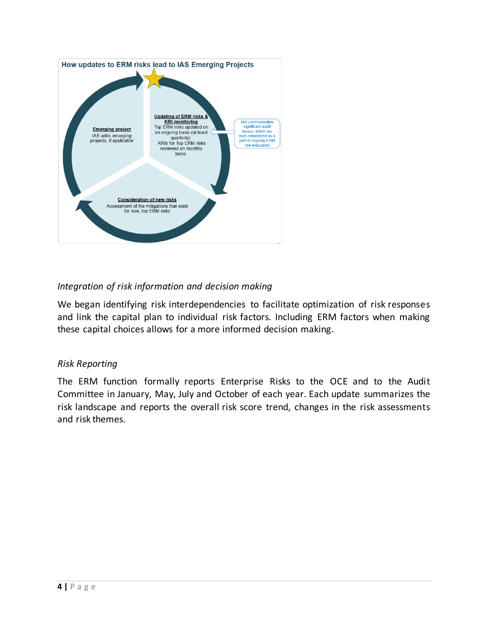

### *Integration of risk information and decision making*

We began identifying risk interdependencies to facilitate optimization of risk responses and link the capital plan to individual risk factors. Including ERM factors when making these capital choices allows for a more informed decision making.

#### *Risk Reporting*

The ERM function formally reports Enterprise Risks to the OCE and to the Audit Committee in January, May, July and October of each year. Each update summarizes the risk landscape and reports the overall risk score trend, changes in the risk assessments and risk themes.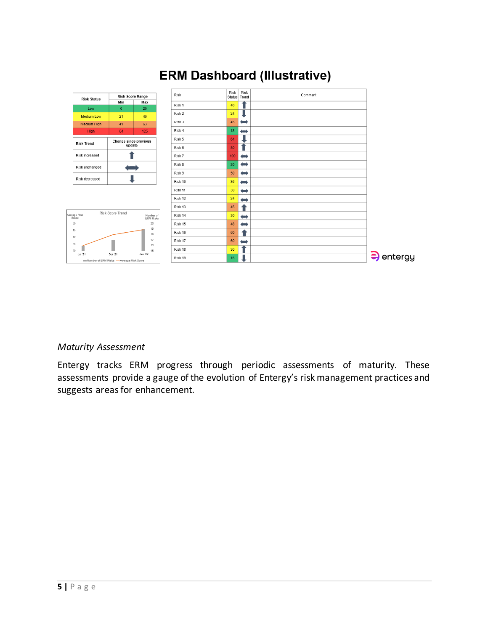

# **ERM Dashboard (Illustrative)**

#### *Maturity Assessment*

Entergy tracks ERM progress through periodic assessments of maturity. These assessments provide a gauge of the evolution of Entergy's risk management practices and suggests areas for enhancement.